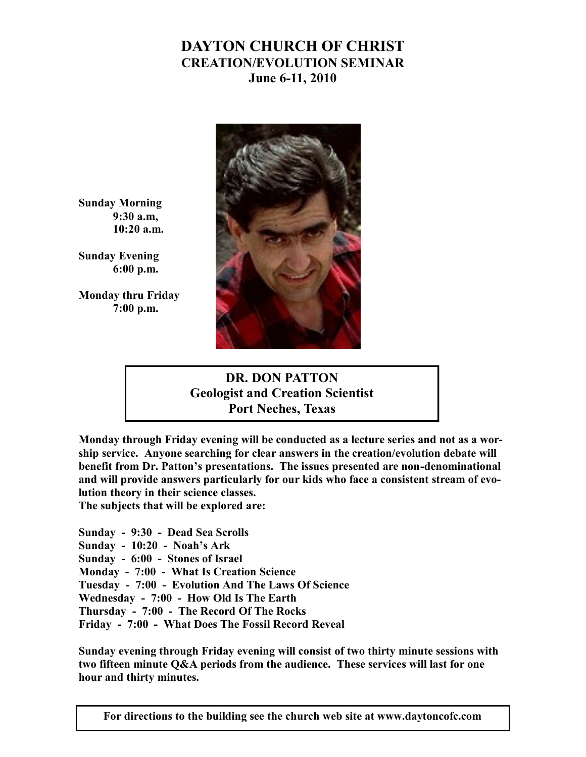## **DAYTON CHURCH OF CHRIST CREATION/EVOLUTION SEMINAR June 6-11, 2010**



**Sunday Morning 9:30 a.m, 10:20 a.m.**

**Sunday Evening 6:00 p.m.**

**Monday thru Friday 7:00 p.m.**

## **DR. DON PATTON Geologist and Creation Scientist Port Neches, Texas**

**Monday through Friday evening will be conducted as a lecture series and not as a worship service. Anyone searching for clear answers in the creation/evolution debate will benefit from Dr. Patton's presentations. The issues presented are non-denominational and will provide answers particularly for our kids who face a consistent stream of evolution theory in their science classes. The subjects that will be explored are:**

**Sunday - 9:30 - Dead Sea Scrolls Sunday - 10:20 - Noah's Ark Sunday - 6:00 - Stones of Israel Monday - 7:00 - What Is Creation Science Tuesday - 7:00 - Evolution And The Laws Of Science Wednesday - 7:00 - How Old Is The Earth Thursday - 7:00 - The Record Of The Rocks Friday - 7:00 - What Does The Fossil Record Reveal**

**Sunday evening through Friday evening will consist of two thirty minute sessions with two fifteen minute Q&A periods from the audience. These services will last for one hour and thirty minutes.**

**For directions to the building see the church web site at www.daytoncofc.com**